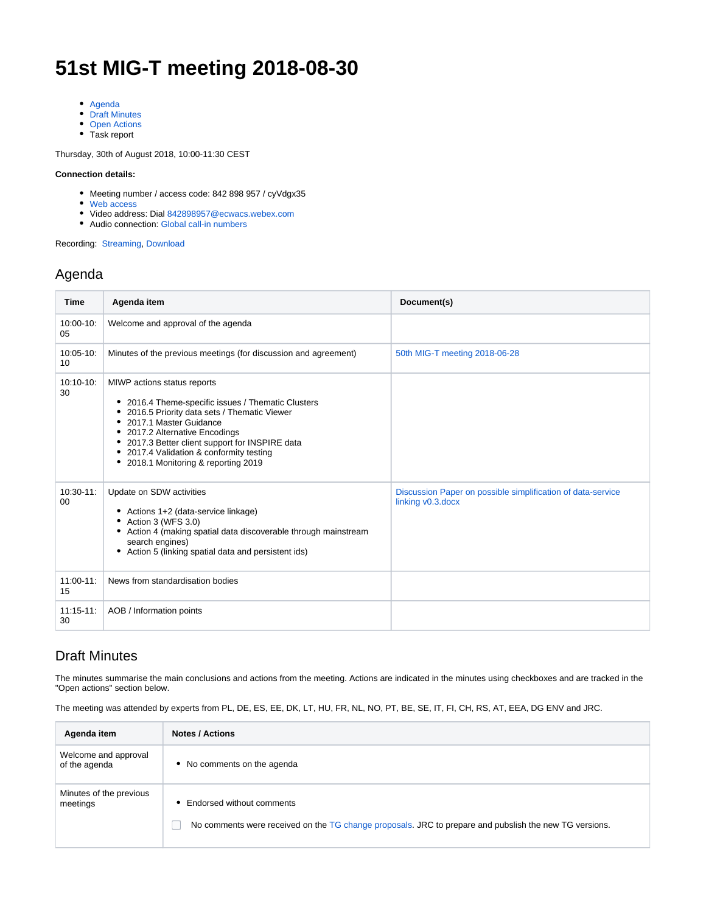# **51st MIG-T meeting 2018-08-30**

- [Agenda](#page-0-0)
- [Draft Minutes](#page-0-1)
- [Open Actions](#page-2-0)
- Task report

Thursday, 30th of August 2018, 10:00-11:30 CEST

#### **Connection details:**

- Meeting number / access code: 842 898 957 / cyVdgx35
- [Web access](https://ecwacs.webex.com/ecwacs/j.php?MTID=mc9b9ebd15401e6d951e312d1f7d198c3)
- Video address: Dial [842898957@ecwacs.webex.com](mailto:842898957@ecwacs.webex.com)
- Audio connection: [Global call-in numbers](https://ecwacs.webex.com/cmp3100/webcomponents/widget/globalcallin/globalcallin.do?siteurl=ecwacs&serviceType=MC&eventID=606328357&tollFree=0)

Recording: [Streaming,](https://ecwacs.webex.com/ecwacs/ldr.php?RCID=c359bec5caf9f7b6ee6023819d76fc43) [Download](https://ecwacs.webex.com/ecwacs/lsr.php?RCID=3488c58555e3d75dd24ced2eece4a23c)

#### <span id="page-0-0"></span>Agenda

| <b>Time</b>             | Agenda item                                                                                                                                                                                                                                                                                                                             | Document(s)                                                                      |
|-------------------------|-----------------------------------------------------------------------------------------------------------------------------------------------------------------------------------------------------------------------------------------------------------------------------------------------------------------------------------------|----------------------------------------------------------------------------------|
| $10:00 - 10:$<br>05     | Welcome and approval of the agenda                                                                                                                                                                                                                                                                                                      |                                                                                  |
| $10:05-10$ :<br>10      | Minutes of the previous meetings (for discussion and agreement)                                                                                                                                                                                                                                                                         | 50th MIG-T meeting 2018-06-28                                                    |
| $10:10-10:$<br>30       | MIWP actions status reports<br>• 2016.4 Theme-specific issues / Thematic Clusters<br>• 2016.5 Priority data sets / Thematic Viewer<br>• 2017.1 Master Guidance<br>• 2017.2 Alternative Encodings<br>• 2017.3 Better client support for INSPIRE data<br>• 2017.4 Validation & conformity testing<br>• 2018.1 Monitoring & reporting 2019 |                                                                                  |
| $10:30-11$ :<br>$00 \,$ | Update on SDW activities<br>Actions 1+2 (data-service linkage)<br>• Action 3 (WFS 3.0)<br>• Action 4 (making spatial data discoverable through mainstream<br>search engines)<br>• Action 5 (linking spatial data and persistent ids)                                                                                                    | Discussion Paper on possible simplification of data-service<br>linking v0.3.docx |
| $11:00-11$ :<br>15      | News from standardisation bodies                                                                                                                                                                                                                                                                                                        |                                                                                  |
| $11:15-11:$<br>30       | AOB / Information points                                                                                                                                                                                                                                                                                                                |                                                                                  |

#### <span id="page-0-1"></span>Draft Minutes

The minutes summarise the main conclusions and actions from the meeting. Actions are indicated in the minutes using checkboxes and are tracked in the "Open actions" section below.

The meeting was attended by experts from PL, DE, ES, EE, DK, LT, HU, FR, NL, NO, PT, BE, SE, IT, FI, CH, RS, AT, EEA, DG ENV and JRC.

| Agenda item                           | <b>Notes / Actions</b>                                                                                                              |
|---------------------------------------|-------------------------------------------------------------------------------------------------------------------------------------|
| Welcome and approval<br>of the agenda | • No comments on the agenda                                                                                                         |
| Minutes of the previous<br>meetings   | Endorsed without comments<br>No comments were received on the TG change proposals. JRC to prepare and pubslish the new TG versions. |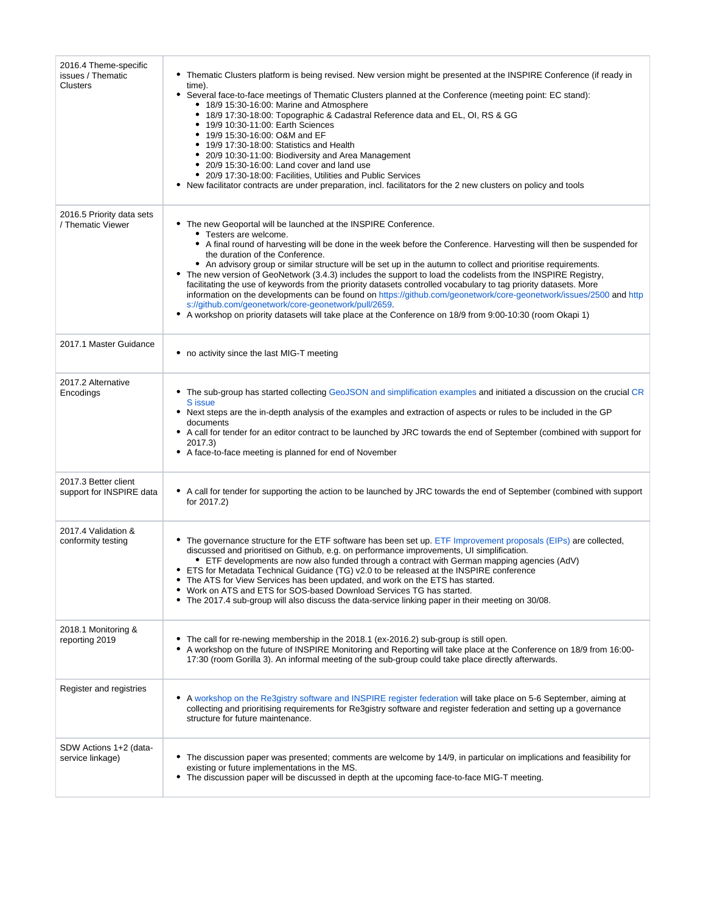| 2016.4 Theme-specific<br>issues / Thematic<br>Clusters | • Thematic Clusters platform is being revised. New version might be presented at the INSPIRE Conference (if ready in<br>time).<br>• Several face-to-face meetings of Thematic Clusters planned at the Conference (meeting point: EC stand):<br>• 18/9 15:30-16:00: Marine and Atmosphere<br>• 18/9 17:30-18:00: Topographic & Cadastral Reference data and EL, OI, RS & GG<br>• 19/9 10:30-11:00: Earth Sciences<br>• 19/9 15:30-16:00: O&M and EF<br>• 19/9 17:30-18:00: Statistics and Health<br>• 20/9 10:30-11:00: Biodiversity and Area Management<br>• 20/9 15:30-16:00: Land cover and land use<br>• 20/9 17:30-18:00: Facilities, Utilities and Public Services<br>• New facilitator contracts are under preparation, incl. facilitators for the 2 new clusters on policy and tools                                                                                                           |
|--------------------------------------------------------|-------------------------------------------------------------------------------------------------------------------------------------------------------------------------------------------------------------------------------------------------------------------------------------------------------------------------------------------------------------------------------------------------------------------------------------------------------------------------------------------------------------------------------------------------------------------------------------------------------------------------------------------------------------------------------------------------------------------------------------------------------------------------------------------------------------------------------------------------------------------------------------------------------|
| 2016.5 Priority data sets<br>/ Thematic Viewer         | • The new Geoportal will be launched at the INSPIRE Conference.<br>• Testers are welcome.<br>• A final round of harvesting will be done in the week before the Conference. Harvesting will then be suspended for<br>the duration of the Conference.<br>• An advisory group or similar structure will be set up in the autumn to collect and prioritise requirements.<br>• The new version of GeoNetwork (3.4.3) includes the support to load the codelists from the INSPIRE Registry,<br>facilitating the use of keywords from the priority datasets controlled vocabulary to tag priority datasets. More<br>information on the developments can be found on https://github.com/geonetwork/core-geonetwork/issues/2500 and http<br>s://github.com/geonetwork/core-geonetwork/pull/2659.<br>• A workshop on priority datasets will take place at the Conference on 18/9 from 9:00-10:30 (room Okapi 1) |
| 2017.1 Master Guidance                                 | • no activity since the last MIG-T meeting                                                                                                                                                                                                                                                                                                                                                                                                                                                                                                                                                                                                                                                                                                                                                                                                                                                            |
| 2017.2 Alternative<br>Encodings                        | • The sub-group has started collecting GeoJSON and simplification examples and initiated a discussion on the crucial CR<br>S issue<br>• Next steps are the in-depth analysis of the examples and extraction of aspects or rules to be included in the GP<br>documents<br>• A call for tender for an editor contract to be launched by JRC towards the end of September (combined with support for<br>2017.3)<br>• A face-to-face meeting is planned for end of November                                                                                                                                                                                                                                                                                                                                                                                                                               |
| 2017.3 Better client<br>support for INSPIRE data       | • A call for tender for supporting the action to be launched by JRC towards the end of September (combined with support<br>for 2017.2)                                                                                                                                                                                                                                                                                                                                                                                                                                                                                                                                                                                                                                                                                                                                                                |
| 2017.4 Validation &<br>conformity testing              | • The governance structure for the ETF software has been set up. ETF Improvement proposals (EIPs) are collected,<br>discussed and prioritised on Github, e.g. on performance improvements, UI simplification.<br>• ETF developments are now also funded through a contract with German mapping agencies (AdV)<br>• ETS for Metadata Technical Guidance (TG) v2.0 to be released at the INSPIRE conference<br>• The ATS for View Services has been updated, and work on the ETS has started.<br>• Work on ATS and ETS for SOS-based Download Services TG has started.<br>• The 2017.4 sub-group will also discuss the data-service linking paper in their meeting on 30/08.                                                                                                                                                                                                                            |
| 2018.1 Monitoring &<br>reporting 2019                  | • The call for re-newing membership in the 2018.1 (ex-2016.2) sub-group is still open.<br>• A workshop on the future of INSPIRE Monitoring and Reporting will take place at the Conference on 18/9 from 16:00-<br>17:30 (room Gorilla 3). An informal meeting of the sub-group could take place directly afterwards.                                                                                                                                                                                                                                                                                                                                                                                                                                                                                                                                                                                  |
| Register and registries                                | • A workshop on the Re3gistry software and INSPIRE register federation will take place on 5-6 September, aiming at<br>collecting and prioritising requirements for Re3gistry software and register federation and setting up a governance<br>structure for future maintenance.                                                                                                                                                                                                                                                                                                                                                                                                                                                                                                                                                                                                                        |
| SDW Actions 1+2 (data-<br>service linkage)             | • The discussion paper was presented; comments are welcome by 14/9, in particular on implications and feasibility for<br>existing or future implementations in the MS.<br>• The discussion paper will be discussed in depth at the upcoming face-to-face MIG-T meeting.                                                                                                                                                                                                                                                                                                                                                                                                                                                                                                                                                                                                                               |